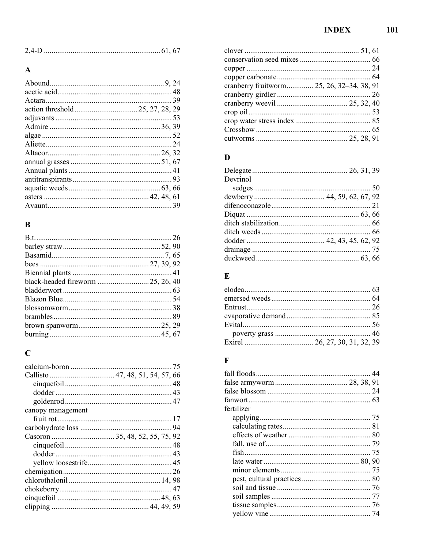101

| 24D |  |
|-----|--|
|     |  |

## $\mathbf{A}$

## $\bf{B}$

| black-headed fireworm  25, 26, 40 |
|-----------------------------------|
|                                   |
|                                   |
|                                   |
|                                   |
|                                   |
|                                   |
|                                   |

## $\mathbf C$

| Callisto  47, 48, 51, 54, 57, 66 |
|----------------------------------|
|                                  |
|                                  |
|                                  |
| canopy management                |
|                                  |
|                                  |
|                                  |
|                                  |
|                                  |
|                                  |
|                                  |
|                                  |
|                                  |
|                                  |
|                                  |

| cranberry fruitworm 25, 26, 32–34, 38, 91 |  |
|-------------------------------------------|--|
|                                           |  |
|                                           |  |
|                                           |  |
|                                           |  |
|                                           |  |
|                                           |  |

### $\mathbf{D}$

| Devrinol |  |
|----------|--|
|          |  |
|          |  |
|          |  |
|          |  |
|          |  |
|          |  |
|          |  |
|          |  |
|          |  |

## $\mathbf E$

## $\mathbf{F}$

| fertilizer |  |
|------------|--|
|            |  |
|            |  |
|            |  |
|            |  |
|            |  |
|            |  |
|            |  |
|            |  |
|            |  |
|            |  |
|            |  |
|            |  |
|            |  |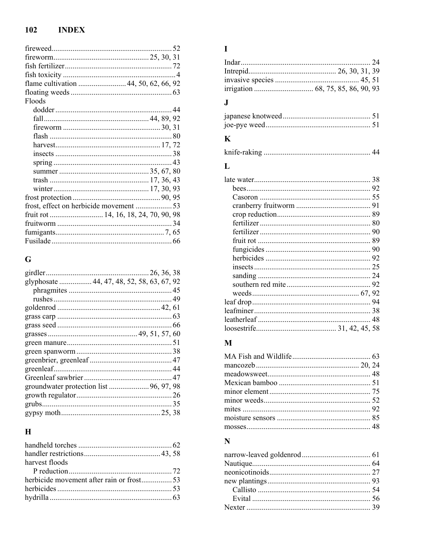#### $102$ **INDEX**

| flame cultivation  44, 50, 62, 66, 92  |  |
|----------------------------------------|--|
|                                        |  |
| Floods                                 |  |
|                                        |  |
|                                        |  |
|                                        |  |
|                                        |  |
|                                        |  |
|                                        |  |
|                                        |  |
|                                        |  |
|                                        |  |
|                                        |  |
|                                        |  |
| frost, effect on herbicide movement 53 |  |
| fruit rot  14, 16, 18, 24, 70, 90, 98  |  |
|                                        |  |
|                                        |  |
|                                        |  |

## $\overline{\mathbf{G}}$

| glyphosate  44, 47, 48, 52, 58, 63, 67, 92 |  |
|--------------------------------------------|--|
|                                            |  |
|                                            |  |
|                                            |  |
|                                            |  |
|                                            |  |
|                                            |  |
|                                            |  |
|                                            |  |
|                                            |  |
|                                            |  |
|                                            |  |
| groundwater protection list  96, 97, 98    |  |
|                                            |  |
|                                            |  |
|                                            |  |
|                                            |  |

# $\overline{\mathbf{H}}$

| harvest floods                           |  |
|------------------------------------------|--|
|                                          |  |
| herbicide movement after rain or frost53 |  |
|                                          |  |
|                                          |  |
|                                          |  |

### $\mathbf I$

## $\mathbf{J}$

# $\mathbf K$

|--|--|

## $\mathbf{L}%$

## $\mathbf{M}$

## $\mathbf N$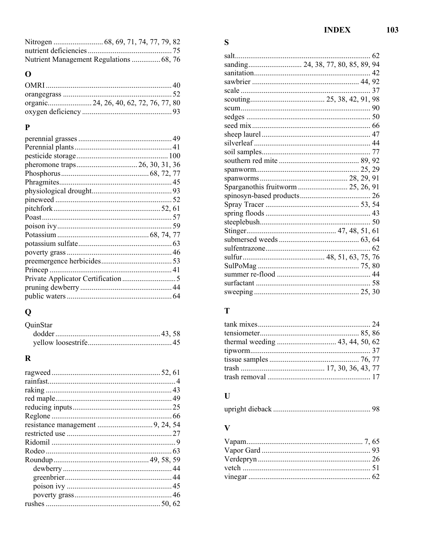| Nutrient Management Regulations  68, 76 |  |
|-----------------------------------------|--|

# $\mathbf{o}$

## $\mathbf{P}$

# $\overline{\mathbf{Q}}$

| QuinStar |  |
|----------|--|
|          |  |
|          |  |

# $\overline{\mathbf{R}}$

# $\mathbf S$

|                                    | 37 |
|------------------------------------|----|
|                                    |    |
|                                    |    |
|                                    |    |
|                                    |    |
|                                    |    |
|                                    |    |
|                                    |    |
|                                    |    |
|                                    |    |
|                                    |    |
| Sparganothis fruitworm  25, 26, 91 |    |
|                                    |    |
|                                    |    |
|                                    |    |
|                                    |    |
|                                    |    |
|                                    |    |
|                                    |    |
|                                    |    |
|                                    |    |
|                                    |    |
|                                    |    |
|                                    |    |

## $\mathbf T$

# $\mathbf{U}$

#### $\overline{\mathbf{V}}$